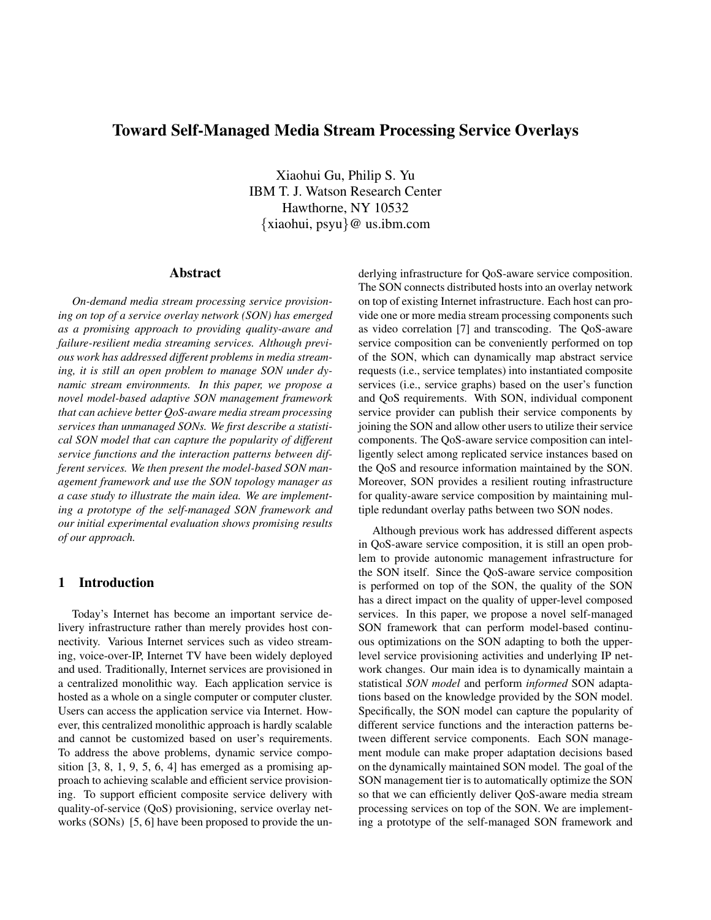# **Toward Self-Managed Media Stream Processing Service Overlays**

Xiaohui Gu, Philip S. Yu IBM T. J. Watson Research Center Hawthorne, NY 10532 *{*xiaohui, psyu*}*@ us.ibm.com

## **Abstract**

*On-demand media stream processing service provisioning on top of a service overlay network (SON) has emerged as a promising approach to providing quality-aware and failure-resilient media streaming services. Although previous work has addressed different problems in media streaming, it is still an open problem to manage SON under dynamic stream environments. In this paper, we propose a novel model-based adaptive SON management framework that can achieve better QoS-aware media stream processing services than unmanaged SONs. We first describe a statistical SON model that can capture the popularity of different service functions and the interaction patterns between different services. We then present the model-based SON management framework and use the SON topology manager as a case study to illustrate the main idea. We are implementing a prototype of the self-managed SON framework and our initial experimental evaluation shows promising results of our approach.*

# **1 Introduction**

Today's Internet has become an important service delivery infrastructure rather than merely provides host connectivity. Various Internet services such as video streaming, voice-over-IP, Internet TV have been widely deployed and used. Traditionally, Internet services are provisioned in a centralized monolithic way. Each application service is hosted as a whole on a single computer or computer cluster. Users can access the application service via Internet. However, this centralized monolithic approach is hardly scalable and cannot be customized based on user's requirements. To address the above problems, dynamic service composition  $[3, 8, 1, 9, 5, 6, 4]$  has emerged as a promising approach to achieving scalable and efficient service provisioning. To support efficient composite service delivery with quality-of-service (QoS) provisioning, service overlay networks (SONs) [5, 6] have been proposed to provide the underlying infrastructure for QoS-aware service composition. The SON connects distributed hosts into an overlay network on top of existing Internet infrastructure. Each host can provide one or more media stream processing components such as video correlation [7] and transcoding. The QoS-aware service composition can be conveniently performed on top of the SON, which can dynamically map abstract service requests (i.e., service templates) into instantiated composite services (i.e., service graphs) based on the user's function and QoS requirements. With SON, individual component service provider can publish their service components by joining the SON and allow other users to utilize their service components. The QoS-aware service composition can intelligently select among replicated service instances based on the QoS and resource information maintained by the SON. Moreover, SON provides a resilient routing infrastructure for quality-aware service composition by maintaining multiple redundant overlay paths between two SON nodes.

Although previous work has addressed different aspects in QoS-aware service composition, it is still an open problem to provide autonomic management infrastructure for the SON itself. Since the QoS-aware service composition is performed on top of the SON, the quality of the SON has a direct impact on the quality of upper-level composed services. In this paper, we propose a novel self-managed SON framework that can perform model-based continuous optimizations on the SON adapting to both the upperlevel service provisioning activities and underlying IP network changes. Our main idea is to dynamically maintain a statistical *SON model* and perform *informed* SON adaptations based on the knowledge provided by the SON model. Specifically, the SON model can capture the popularity of different service functions and the interaction patterns between different service components. Each SON management module can make proper adaptation decisions based on the dynamically maintained SON model. The goal of the SON management tier is to automatically optimize the SON so that we can efficiently deliver QoS-aware media stream processing services on top of the SON. We are implementing a prototype of the self-managed SON framework and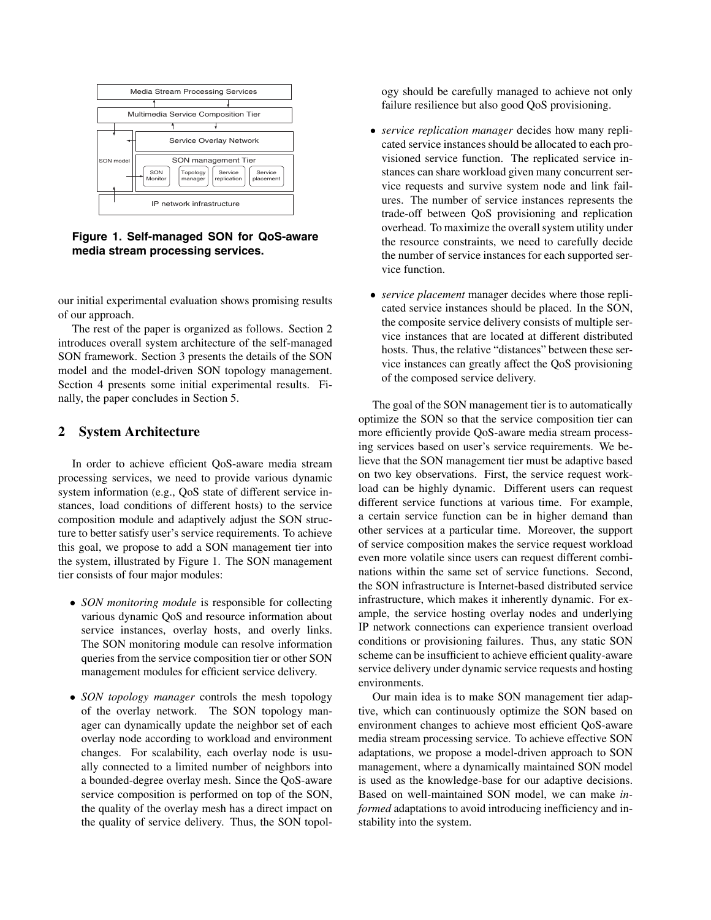

**Figure 1. Self-managed SON for QoS-aware media stream processing services.**

our initial experimental evaluation shows promising results of our approach.

The rest of the paper is organized as follows. Section 2 introduces overall system architecture of the self-managed SON framework. Section 3 presents the details of the SON model and the model-driven SON topology management. Section 4 presents some initial experimental results. Finally, the paper concludes in Section 5.

# **2 System Architecture**

In order to achieve efficient QoS-aware media stream processing services, we need to provide various dynamic system information (e.g., QoS state of different service instances, load conditions of different hosts) to the service composition module and adaptively adjust the SON structure to better satisfy user's service requirements. To achieve this goal, we propose to add a SON management tier into the system, illustrated by Figure 1. The SON management tier consists of four major modules:

- *• SON monitoring module* is responsible for collecting various dynamic QoS and resource information about service instances, overlay hosts, and overly links. The SON monitoring module can resolve information queries from the service composition tier or other SON management modules for efficient service delivery.
- *• SON topology manager* controls the mesh topology of the overlay network. The SON topology manager can dynamically update the neighbor set of each overlay node according to workload and environment changes. For scalability, each overlay node is usually connected to a limited number of neighbors into a bounded-degree overlay mesh. Since the QoS-aware service composition is performed on top of the SON, the quality of the overlay mesh has a direct impact on the quality of service delivery. Thus, the SON topol-

ogy should be carefully managed to achieve not only failure resilience but also good QoS provisioning.

- *• service replication manager* decides how many replicated service instances should be allocated to each provisioned service function. The replicated service instances can share workload given many concurrent service requests and survive system node and link failures. The number of service instances represents the trade-off between QoS provisioning and replication overhead. To maximize the overall system utility under the resource constraints, we need to carefully decide the number of service instances for each supported service function.
- *• service placement* manager decides where those replicated service instances should be placed. In the SON, the composite service delivery consists of multiple service instances that are located at different distributed hosts. Thus, the relative "distances" between these service instances can greatly affect the QoS provisioning of the composed service delivery.

The goal of the SON management tier is to automatically optimize the SON so that the service composition tier can more efficiently provide QoS-aware media stream processing services based on user's service requirements. We believe that the SON management tier must be adaptive based on two key observations. First, the service request workload can be highly dynamic. Different users can request different service functions at various time. For example, a certain service function can be in higher demand than other services at a particular time. Moreover, the support of service composition makes the service request workload even more volatile since users can request different combinations within the same set of service functions. Second, the SON infrastructure is Internet-based distributed service infrastructure, which makes it inherently dynamic. For example, the service hosting overlay nodes and underlying IP network connections can experience transient overload conditions or provisioning failures. Thus, any static SON scheme can be insufficient to achieve efficient quality-aware service delivery under dynamic service requests and hosting environments.

Our main idea is to make SON management tier adaptive, which can continuously optimize the SON based on environment changes to achieve most efficient QoS-aware media stream processing service. To achieve effective SON adaptations, we propose a model-driven approach to SON management, where a dynamically maintained SON model is used as the knowledge-base for our adaptive decisions. Based on well-maintained SON model, we can make *informed* adaptations to avoid introducing inefficiency and instability into the system.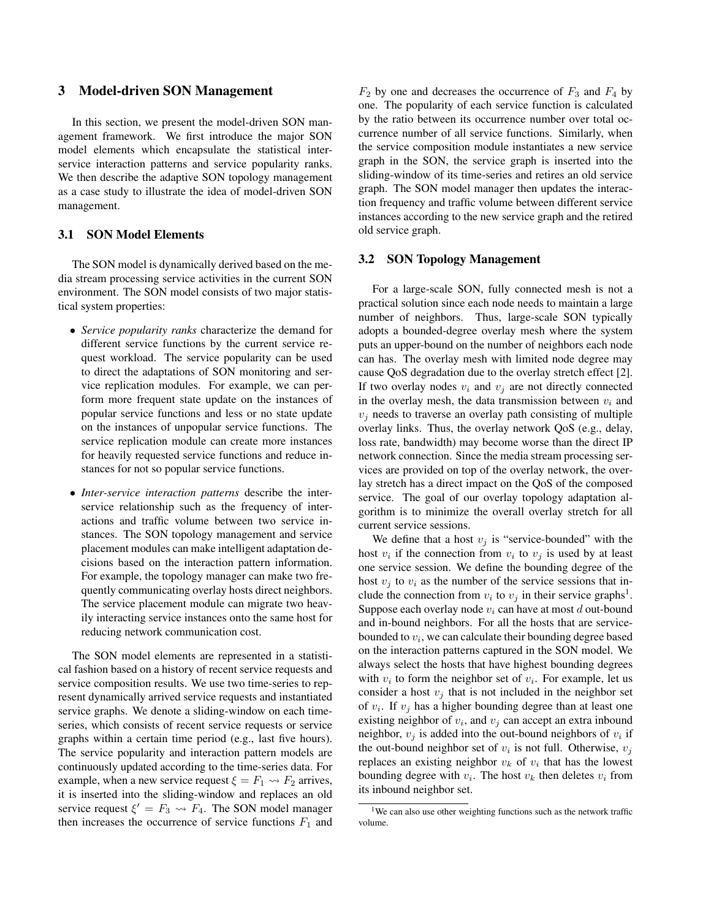## **3 Model-driven SON Management**

In this section, we present the model-driven SON management framework. We first introduce the major SON model elements which encapsulate the statistical interservice interaction patterns and service popularity ranks. We then describe the adaptive SON topology management as a case study to illustrate the idea of model-driven SON management.

#### **3.1 SON Model Elements**

The SON model is dynamically derived based on the media stream processing service activities in the current SON environment. The SON model consists of two major statistical system properties:

- *• Service popularity ranks* characterize the demand for different service functions by the current service request workload. The service popularity can be used to direct the adaptations of SON monitoring and service replication modules. For example, we can perform more frequent state update on the instances of popular service functions and less or no state update on the instances of unpopular service functions. The service replication module can create more instances for heavily requested service functions and reduce instances for not so popular service functions.
- *• Inter-service interaction patterns* describe the interservice relationship such as the frequency of interactions and traffic volume between two service instances. The SON topology management and service placement modules can make intelligent adaptation decisions based on the interaction pattern information. For example, the topology manager can make two frequently communicating overlay hosts direct neighbors. The service placement module can migrate two heavily interacting service instances onto the same host for reducing network communication cost.

The SON model elements are represented in a statistical fashion based on a history of recent service requests and service composition results. We use two time-series to represent dynamically arrived service requests and instantiated service graphs. We denote a sliding-window on each timeseries, which consists of recent service requests or service graphs within a certain time period (e.g., last five hours). The service popularity and interaction pattern models are continuously updated according to the time-series data. For example, when a new service request  $\xi = F_1 \rightarrow F_2$  arrives, it is inserted into the sliding-window and replaces an old service request  $\xi' = F_3 \rightarrow F_4$ . The SON model manager then increases the occurrence of service functions  $F_1$  and

 $F_2$  by one and decreases the occurrence of  $F_3$  and  $F_4$  by one. The popularity of each service function is calculated by the ratio between its occurrence number over total occurrence number of all service functions. Similarly, when the service composition module instantiates a new service graph in the SON, the service graph is inserted into the sliding-window of its time-series and retires an old service graph. The SON model manager then updates the interaction frequency and traffic volume between different service instances according to the new service graph and the retired old service graph.

## **3.2 SON Topology Management**

For a large-scale SON, fully connected mesh is not a practical solution since each node needs to maintain a large number of neighbors. Thus, large-scale SON typically adopts a bounded-degree overlay mesh where the system puts an upper-bound on the number of neighbors each node can has. The overlay mesh with limited node degree may cause QoS degradation due to the overlay stretch effect [2]. If two overlay nodes  $v_i$  and  $v_j$  are not directly connected in the overlay mesh, the data transmission between  $v_i$  and  $v_j$  needs to traverse an overlay path consisting of multiple overlay links. Thus, the overlay network QoS (e.g., delay, loss rate, bandwidth) may become worse than the direct IP network connection. Since the media stream processing services are provided on top of the overlay network, the overlay stretch has a direct impact on the QoS of the composed service. The goal of our overlay topology adaptation algorithm is to minimize the overall overlay stretch for all current service sessions.

We define that a host  $v_j$  is "service-bounded" with the host  $v_i$  if the connection from  $v_i$  to  $v_j$  is used by at least one service session. We define the bounding degree of the host  $v_i$  to  $v_i$  as the number of the service sessions that include the connection from  $v_i$  to  $v_j$  in their service graphs<sup>1</sup>. Suppose each overlay node  $v_i$  can have at most  $d$  out-bound and in-bound neighbors. For all the hosts that are servicebounded to v*i*, we can calculate their bounding degree based on the interaction patterns captured in the SON model. We always select the hosts that have highest bounding degrees with  $v_i$  to form the neighbor set of  $v_i$ . For example, let us consider a host  $v_j$  that is not included in the neighbor set of  $v_i$ . If  $v_j$  has a higher bounding degree than at least one existing neighbor of  $v_i$ , and  $v_j$  can accept an extra inbound neighbor,  $v_j$  is added into the out-bound neighbors of  $v_i$  if the out-bound neighbor set of  $v_i$  is not full. Otherwise,  $v_j$ replaces an existing neighbor  $v_k$  of  $v_i$  that has the lowest bounding degree with  $v_i$ . The host  $v_k$  then deletes  $v_i$  from its inbound neighbor set.

<sup>&</sup>lt;sup>1</sup>We can also use other weighting functions such as the network traffic volume.